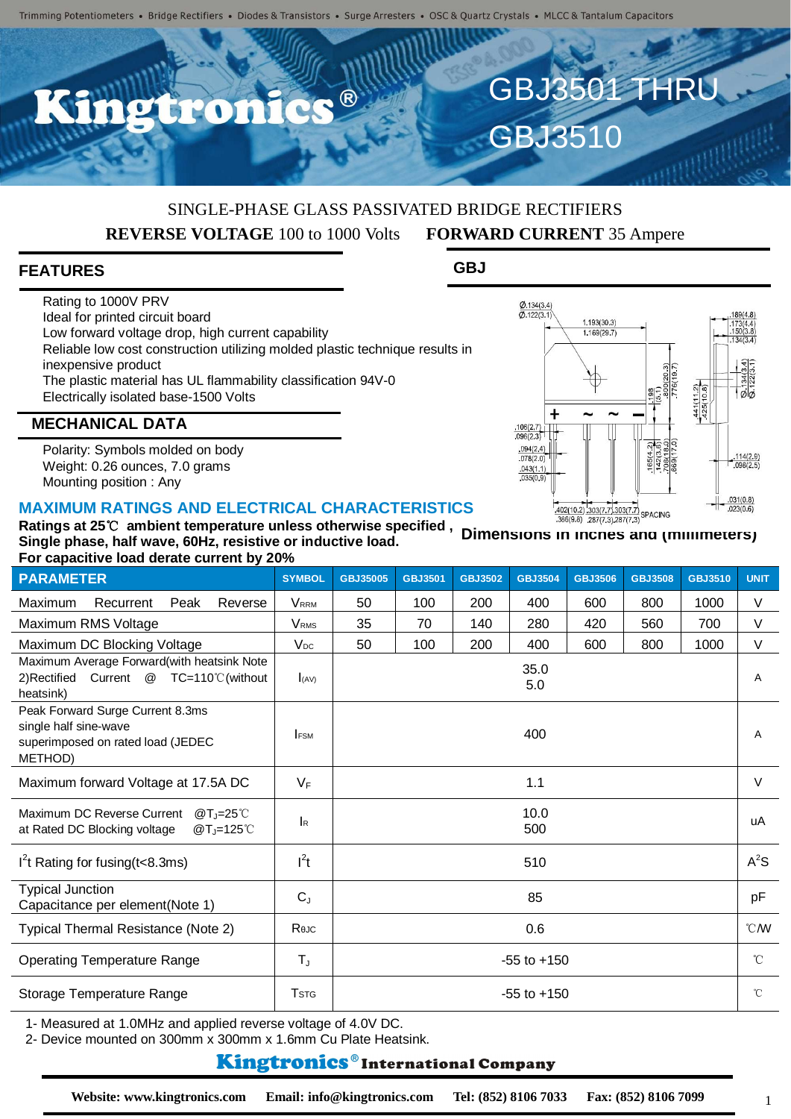R

# SINGLE-PHASE GLASS PASSIVATED BRIDGE RECTIFIERS

**REVERSE VOLTAGE** 100 to 1000 Volts **FORWARD CURRENT** 35 Ampere

GBJ3510

### **FEATURES**

Rating to 1000V PRV Ideal for printed circuit board Low forward voltage drop, high current capability Reliable low cost construction utilizing molded plastic technique results in inexpensive product The plastic material has UL flammability classification 94V-0 Electrically isolated base-1500 Volts

GBJ3501 THRU

**GBJ**



### **MECHANICAL DATA**

Polarity: Symbols molded on body Weight: 0.26 ounces, 7.0 grams Mounting position : Any

#### **MAXIMUM RATINGS AND ELECTRICAL CHARACTERISTICS**

| Single phase, half wave, 60Hz, resistive or inductive load.<br>For capacitive load derate current by 20%             |                         |                 |                |                | <u>Uniferently in include and triminitiers in</u> |                |                |                |                |  |
|----------------------------------------------------------------------------------------------------------------------|-------------------------|-----------------|----------------|----------------|---------------------------------------------------|----------------|----------------|----------------|----------------|--|
| <b>PARAMETER</b>                                                                                                     | <b>SYMBOL</b>           | GBJ35005        | <b>GBJ3501</b> | <b>GBJ3502</b> | <b>GBJ3504</b>                                    | <b>GBJ3506</b> | <b>GBJ3508</b> | <b>GBJ3510</b> | <b>UNIT</b>    |  |
| Maximum<br>Reverse<br>Recurrent<br>Peak                                                                              | <b>V</b> <sub>RRM</sub> | 50              | 100            | 200            | 400                                               | 600            | 800            | 1000           | $\vee$         |  |
| Maximum RMS Voltage                                                                                                  | <b>VRMS</b>             | 35              | 70             | 140            | 280                                               | 420            | 560            | 700            | V              |  |
| Maximum DC Blocking Voltage                                                                                          | $V_{DC}$                | 50              | 100            | 200            | 400                                               | 600            | 800            | 1000           | $\vee$         |  |
| Maximum Average Forward(with heatsink Note<br>2)Rectified<br>Current<br><b><i>@</i></b> TC=110℃(without<br>heatsink) | I(AV)                   |                 |                |                | 35.0<br>5.0                                       |                |                |                | Α              |  |
| Peak Forward Surge Current 8.3ms<br>single half sine-wave<br>superimposed on rated load (JEDEC<br>METHOD)            | <b>IFSM</b>             |                 |                |                | 400                                               |                |                |                | $\overline{A}$ |  |
| Maximum forward Voltage at 17.5A DC                                                                                  | $V_F$                   | 1.1             |                |                |                                                   |                |                |                | $\vee$         |  |
| Maximum DC Reverse Current<br>@Ti=25 $°C$<br>at Rated DC Blocking voltage<br>$@T = 125^\circ C$                      | <b>I</b> R              | 10.0<br>500     |                |                |                                                   |                |                |                | uA             |  |
| $I2t$ Rating for fusing ( $t<8.3$ ms)                                                                                | $l^2t$                  | 510             |                |                |                                                   |                |                |                | $A^2S$         |  |
| <b>Typical Junction</b><br>Capacitance per element(Note 1)                                                           | $C_{J}$                 | 85              |                |                |                                                   |                |                |                | pF             |  |
| Typical Thermal Resistance (Note 2)                                                                                  | Rejc                    | 0.6             |                |                |                                                   |                |                |                | $^{\circ}$ CM  |  |
| <b>Operating Temperature Range</b>                                                                                   | $T_{\rm J}$             | $-55$ to $+150$ |                |                |                                                   |                |                |                | $^{\circ}$ C   |  |
| Storage Temperature Range                                                                                            | <b>T</b> stg            | $-55$ to $+150$ |                |                |                                                   |                |                |                | $^{\circ}$ C   |  |

1- Measured at 1.0MHz and applied reverse voltage of 4.0V DC.

2- Device mounted on 300mm x 300mm x 1.6mm Cu Plate Heatsink.

#### **Kingtronics**®International Company

1